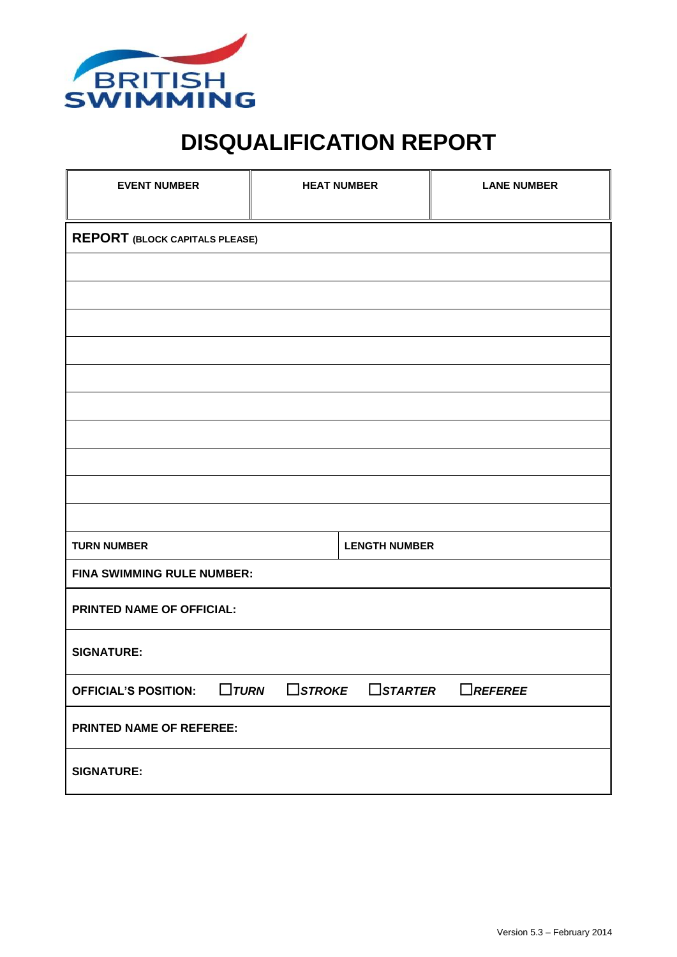

## **DISQUALIFICATION REPORT**

| <b>EVENT NUMBER</b>                     | <b>HEAT NUMBER</b> |                              | <b>LANE NUMBER</b> |  |
|-----------------------------------------|--------------------|------------------------------|--------------------|--|
| <b>REPORT (BLOCK CAPITALS PLEASE)</b>   |                    |                              |                    |  |
|                                         |                    |                              |                    |  |
|                                         |                    |                              |                    |  |
|                                         |                    |                              |                    |  |
|                                         |                    |                              |                    |  |
|                                         |                    |                              |                    |  |
|                                         |                    |                              |                    |  |
|                                         |                    |                              |                    |  |
|                                         |                    |                              |                    |  |
| <b>TURN NUMBER</b>                      |                    | <b>LENGTH NUMBER</b>         |                    |  |
| FINA SWIMMING RULE NUMBER:              |                    |                              |                    |  |
| PRINTED NAME OF OFFICIAL:               |                    |                              |                    |  |
| <b>SIGNATURE:</b>                       |                    |                              |                    |  |
| <b>OFFICIAL'S POSITION:</b> $\Box$ TURN |                    | $\Box$ STROKE $\Box$ STARTER | $\Box$ REFEREE     |  |
| PRINTED NAME OF REFEREE:                |                    |                              |                    |  |
| <b>SIGNATURE:</b>                       |                    |                              |                    |  |